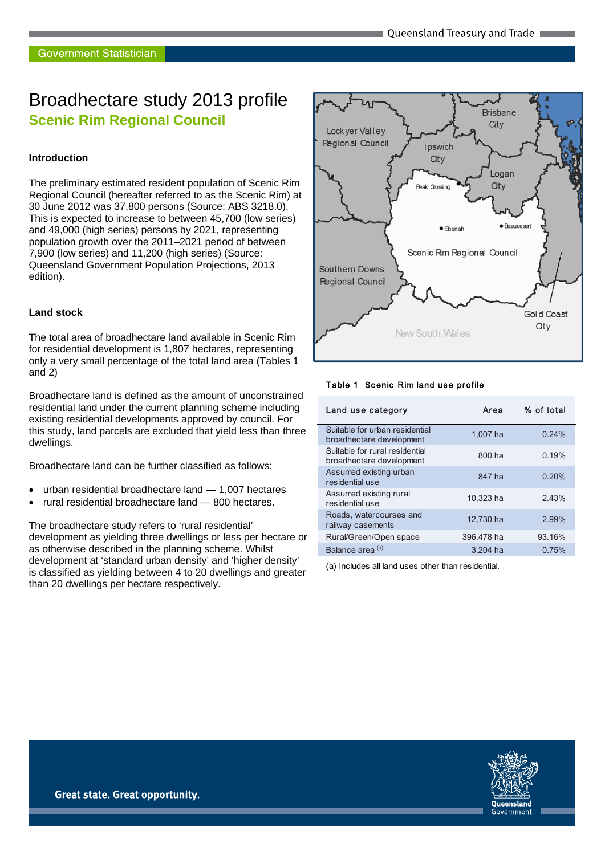# Broadhectare study 2013 profile **Scenic Rim Regional Council**

#### **Introduction**

The preliminary estimated resident population of Scenic Rim Regional Council (hereafter referred to as the Scenic Rim) at 30 June 2012 was 37,800 persons (Source: ABS 3218.0). This is expected to increase to between 45,700 (low series) and 49,000 (high series) persons by 2021, representing population growth over the 2011–2021 period of between 7,900 (low series) and 11,200 (high series) (Source: Queensland Government Population Projections, 2013 edition).

#### **Land stock**

The total area of broadhectare land available in Scenic Rim for residential development is 1,807 hectares, representing only a very small percentage of the total land area (Tables 1 and 2)

Broadhectare land is defined as the amount of unconstrained residential land under the current planning scheme including existing residential developments approved by council. For this study, land parcels are excluded that yield less than three dwellings.

Broadhectare land can be further classified as follows:

- urban residential broadhectare land 1,007 hectares
- rural residential broadhectare land 800 hectares.

The broadhectare study refers to 'rural residential' development as yielding three dwellings or less per hectare or as otherwise described in the planning scheme. Whilst development at 'standard urban density' and 'higher density' is classified as yielding between 4 to 20 dwellings and greater than 20 dwellings per hectare respectively.



#### Table 1 Scenic Rim land use profile

| Land use category                                          | Area       | % of total |
|------------------------------------------------------------|------------|------------|
| Suitable for urban residential<br>broadhectare development | 1.007 ha   | 0.24%      |
| Suitable for rural residential<br>broadhectare development | 800 ha     | 0.19%      |
| Assumed existing urban<br>residential use                  | 847 ha     | 0.20%      |
| Assumed existing rural<br>residential use                  | 10,323 ha  | 2.43%      |
| Roads, watercourses and<br>railway casements               | 12,730 ha  | 2.99%      |
| Rural/Green/Open space                                     | 396,478 ha | 93.16%     |
| Balance area <sup>(a)</sup>                                | 3.204 ha   | 0.75%      |

(a) Includes all land uses other than residential.

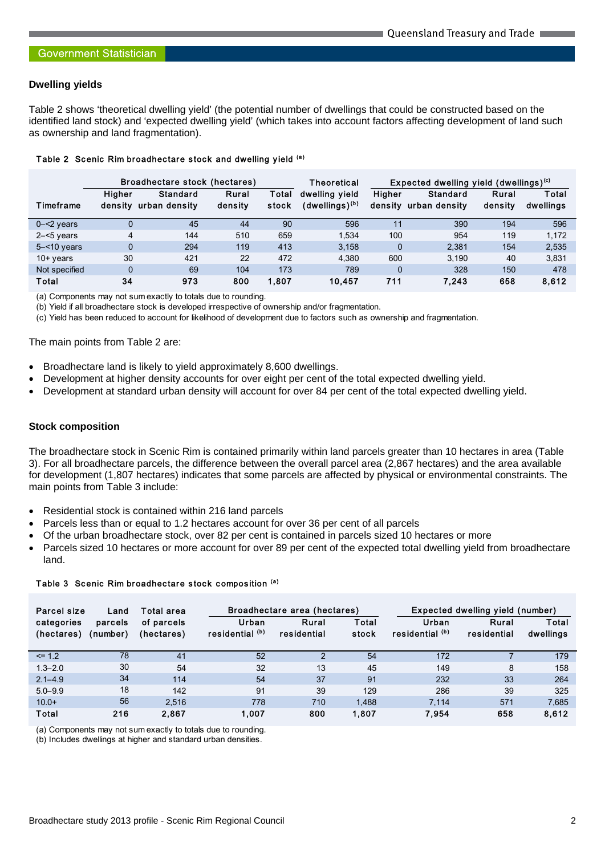### **Dwelling yields**

Table 2 shows 'theoretical dwelling yield' (the potential number of dwellings that could be constructed based on the identified land stock) and 'expected dwelling yield' (which takes into account factors affecting development of land such as ownership and land fragmentation).

|                | Broadhectare stock (hectares) |                           | Theoretical      | Expected dwelling yield (dwellings) <sup>(c)</sup> |                                       |                          |                           |                  |                    |
|----------------|-------------------------------|---------------------------|------------------|----------------------------------------------------|---------------------------------------|--------------------------|---------------------------|------------------|--------------------|
| Timeframe      | Higher<br>densitv             | Standard<br>urban density | Rural<br>density | Total<br>stock                                     | dwelling vield<br>$(dwellings)^{(b)}$ | <b>Higher</b><br>density | Standard<br>urban density | Rural<br>density | Total<br>dwellings |
| $0 - 2$ years  |                               | 45                        | 44               | 90                                                 | 596                                   | 11                       | 390                       | 194              | 596                |
| $2 - 5$ years  | 4                             | 144                       | 510              | 659                                                | 1.534                                 | 100                      | 954                       | 119              | 1.172              |
| $5 - 10$ years | $\Omega$                      | 294                       | 119              | 413                                                | 3.158                                 | $\Omega$                 | 2.381                     | 154              | 2.535              |
| $10+$ years    | 30                            | 421                       | 22               | 472                                                | 4.380                                 | 600                      | 3.190                     | 40               | 3.831              |
| Not specified  | $\Omega$                      | 69                        | 104              | 173                                                | 789                                   | $\Omega$                 | 328                       | 150              | 478                |
| <b>Total</b>   | 34                            | 973                       | 800              | 1.807                                              | 10.457                                | 711                      | 7.243                     | 658              | 8,612              |

#### Table 2 Scenic Rim broadhectare stock and dwelling yield (a)

(a) Components may not sum exactly to totals due to rounding.

(b) Yield if all broadhectare stock is developed irrespective of ownership and/or fragmentation.

(c) Yield has been reduced to account for likelihood of development due to factors such as ownership and fragmentation.

The main points from Table 2 are:

- Broadhectare land is likely to yield approximately 8,600 dwellings.
- Development at higher density accounts for over eight per cent of the total expected dwelling yield.
- Development at standard urban density will account for over 84 per cent of the total expected dwelling yield.

#### **Stock composition**

The broadhectare stock in Scenic Rim is contained primarily within land parcels greater than 10 hectares in area (Table 3). For all broadhectare parcels, the difference between the overall parcel area (2,867 hectares) and the area available for development (1,807 hectares) indicates that some parcels are affected by physical or environmental constraints. The main points from Table 3 include:

- Residential stock is contained within 216 land parcels
- Parcels less than or equal to 1.2 hectares account for over 36 per cent of all parcels
- Of the urban broadhectare stock, over 82 per cent is contained in parcels sized 10 hectares or more
- Parcels sized 10 hectares or more account for over 89 per cent of the expected total dwelling yield from broadhectare land.

| Parcel size              | Land                | Total area               |                          | Broadhectare area (hectares) |                | Expected dwelling yield (number) |                      |                    |
|--------------------------|---------------------|--------------------------|--------------------------|------------------------------|----------------|----------------------------------|----------------------|--------------------|
| categories<br>(hectares) | parcels<br>(number) | of parcels<br>(hectares) | Urban<br>residential (b) | Rural<br>residential         | Total<br>stock | Urban<br>residential (b)         | Rural<br>residential | Total<br>dwellings |
| $\leq$ 1.2               | 78                  | 41                       | 52                       | 2                            | 54             | 172                              |                      | 179                |
| $1.3 - 2.0$              | 30                  | 54                       | 32                       | 13                           | 45             | 149                              | 8                    | 158                |
| $2.1 - 4.9$              | 34                  | 114                      | 54                       | 37                           | 91             | 232                              | 33                   | 264                |
| $5.0 - 9.9$              | 18                  | 142                      | 91                       | 39                           | 129            | 286                              | 39                   | 325                |
| $10.0+$                  | 56                  | 2.516                    | 778                      | 710                          | 1.488          | 7.114                            | 571                  | 7,685              |
| Total                    | 216                 | 2.867                    | 1.007                    | 800                          | 1,807          | 7.954                            | 658                  | 8,612              |

# Table 3 Scenic Rim broadhectare stock composition (a)

(a) Components may not sum exactly to totals due to rounding.

(b) Includes dwellings at higher and standard urban densities.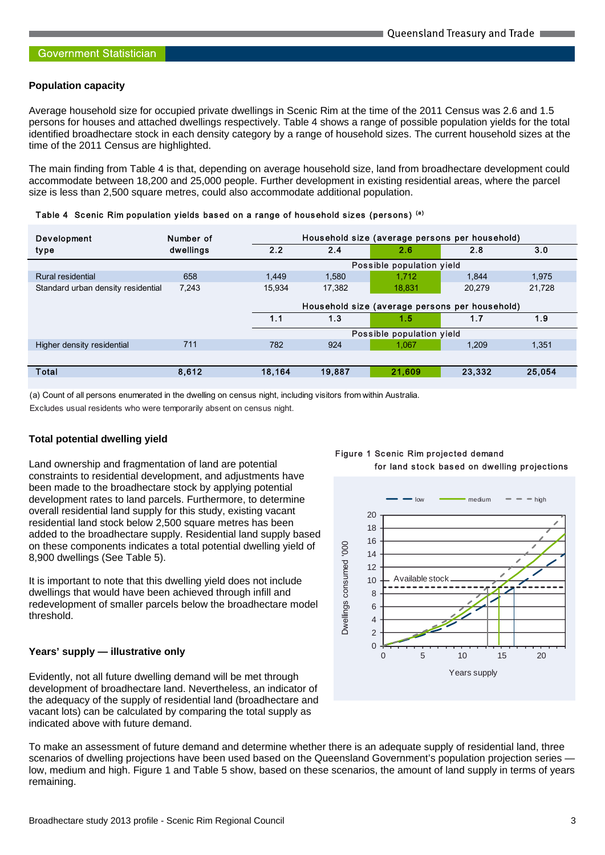#### **Population capacity**

Average household size for occupied private dwellings in Scenic Rim at the time of the 2011 Census was 2.6 and 1.5 persons for houses and attached dwellings respectively. Table 4 shows a range of possible population yields for the total identified broadhectare stock in each density category by a range of household sizes. The current household sizes at the time of the 2011 Census are highlighted.

The main finding from Table 4 is that, depending on average household size, land from broadhectare development could accommodate between 18,200 and 25,000 people. Further development in existing residential areas, where the parcel size is less than 2,500 square metres, could also accommodate additional population.

Table 4 Scenic Rim population yields based on a range of household sizes (persons) (a)

| <b>Development</b>                 | Number of | Household size (average persons per household) |        |                                                |        |        |
|------------------------------------|-----------|------------------------------------------------|--------|------------------------------------------------|--------|--------|
| type                               | dwellings | 2.2                                            | 2.4    | 2.6                                            | 2.8    | 3.0    |
|                                    |           |                                                |        | Possible population yield                      |        |        |
| Rural residential                  | 658       | 1.449                                          | 1.580  | 1.712                                          | 1.844  | 1,975  |
| Standard urban density residential | 7.243     | 15.934                                         | 17.382 | 18.831                                         | 20.279 | 21,728 |
|                                    |           |                                                |        | Household size (average persons per household) |        |        |
|                                    |           | 1.1                                            | 1.3    | 1.5                                            | 1.7    | 1.9    |
|                                    |           |                                                |        | Possible population yield                      |        |        |
| Higher density residential         | 711       | 782                                            | 924    | 1.067                                          | 1.209  | 1.351  |
|                                    |           |                                                |        |                                                |        |        |
| Total                              | 8,612     | 18,164                                         | 19,887 | 21,609                                         | 23,332 | 25,054 |
|                                    |           |                                                |        |                                                |        |        |

(a) Count of all persons enumerated in the dwelling on census night, including visitors from within Australia.

Excludes usual residents who were temporarily absent on census night.

#### **Total potential dwelling yield**

Land ownership and fragmentation of land are potential constraints to residential development, and adjustments have been made to the broadhectare stock by applying potential development rates to land parcels. Furthermore, to determine overall residential land supply for this study, existing vacant residential land stock below 2,500 square metres has been added to the broadhectare supply. Residential land supply based on these components indicates a total potential dwelling yield of 8,900 dwellings (See Table 5).

It is important to note that this dwelling yield does not include dwellings that would have been achieved through infill and redevelopment of smaller parcels below the broadhectare model threshold.

#### **Years' supply — illustrative only**

Evidently, not all future dwelling demand will be met through development of broadhectare land. Nevertheless, an indicator of the adequacy of the supply of residential land (broadhectare and vacant lots) can be calculated by comparing the total supply as indicated above with future demand.

To make an assessment of future demand and determine whether there is an adequate supply of residential land, three scenarios of dwelling projections have been used based on the Queensland Government's population projection series low, medium and high. Figure 1 and Table 5 show, based on these scenarios, the amount of land supply in terms of years remaining.

Figure 1 Scenic Rim projected demand for land stock based on dwelling projections

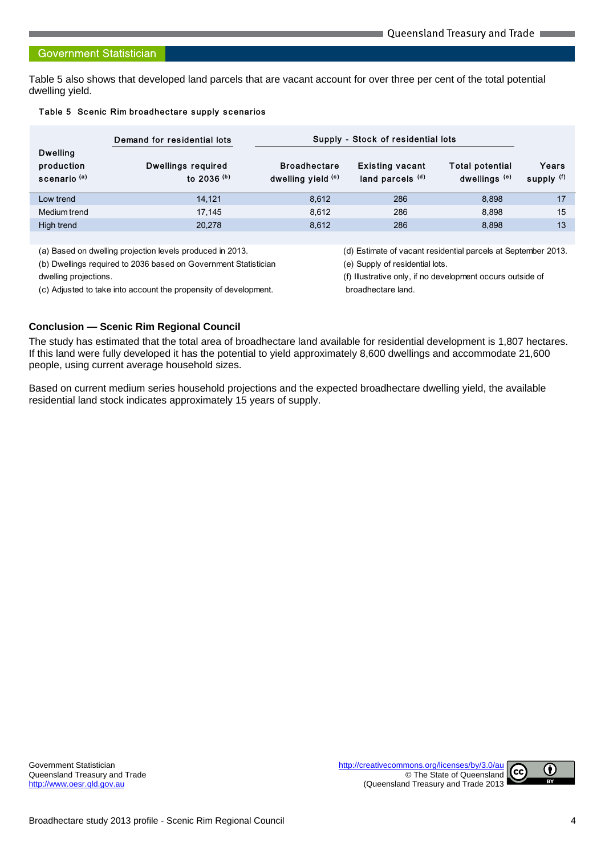#### **Government Statistician**

Table 5 also shows that developed land parcels that are vacant account for over three per cent of the total potential dwelling yield.

#### Table 5 Scenic Rim broadhectare supply scenarios

| Demand for residential lots         |                                           |                                            |                                                    |                                    |
|-------------------------------------|-------------------------------------------|--------------------------------------------|----------------------------------------------------|------------------------------------|
| Dwellings required<br>to 2036 $(b)$ | <b>Broadhectare</b><br>dwelling yield (c) | <b>Existing vacant</b><br>land parcels (d) | <b>Total potential</b><br>dwellings <sup>(e)</sup> | Years<br>supply (f)                |
| 14.121                              | 8.612                                     | 286                                        | 8.898                                              | 17                                 |
| 17.145                              | 8.612                                     | 286                                        | 8.898                                              | 15                                 |
| 20,278                              | 8.612                                     | 286                                        | 8.898                                              | 13                                 |
|                                     |                                           |                                            |                                                    | Supply - Stock of residential lots |

(a) Based on dwelling projection levels produced in 2013. (d) Estimate of vacant residential parcels at September 2013.

(b) Dwellings required to 2036 based on Government Statistician (e) Supply of residential lots. dwelling projections. (f) Illustrative only, if no development occurs outside of

(c) Adjusted to take into account the propensity of development. broadhectare land.

# **Conclusion — Scenic Rim Regional Council**

The study has estimated that the total area of broadhectare land available for residential development is 1,807 hectares. If this land were fully developed it has the potential to yield approximately 8,600 dwellings and accommodate 21,600 people, using current average household sizes.

Based on current medium series household projections and the expected broadhectare dwelling yield, the available residential land stock indicates approximately 15 years of supply.